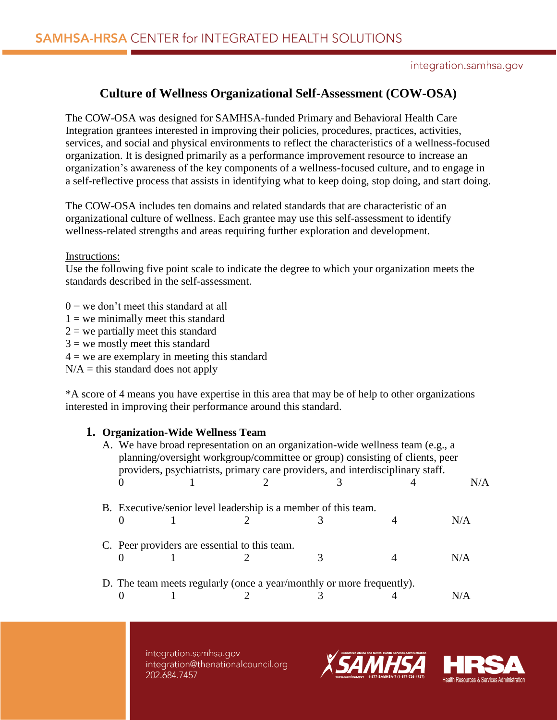# **Culture of Wellness Organizational Self-Assessment (COW-OSA)**

The COW-OSA was designed for SAMHSA-funded Primary and Behavioral Health Care Integration grantees interested in improving their policies, procedures, practices, activities, services, and social and physical environments to reflect the characteristics of a wellness-focused organization. It is designed primarily as a performance improvement resource to increase an organization's awareness of the key components of a wellness-focused culture, and to engage in a self-reflective process that assists in identifying what to keep doing, stop doing, and start doing.

The COW-OSA includes ten domains and related standards that are characteristic of an organizational culture of wellness. Each grantee may use this self-assessment to identify wellness-related strengths and areas requiring further exploration and development.

Instructions:

Use the following five point scale to indicate the degree to which your organization meets the standards described in the self-assessment.

 $0 =$  we don't meet this standard at all

- $1 =$  we minimally meet this standard
- $2$  = we partially meet this standard
- $3$  = we mostly meet this standard
- $4 =$  we are exemplary in meeting this standard

 $N/A =$  this standard does not apply

\*A score of 4 means you have expertise in this area that may be of help to other organizations interested in improving their performance around this standard.

### **1. Organization-Wide Wellness Team**

| A. We have broad representation on an organization-wide wellness team (e.g., a<br>planning/oversight workgroup/committee or group) consisting of clients, peer<br>providers, psychiatrists, primary care providers, and interdisciplinary staff. |  |  |  |  |     |  |
|--------------------------------------------------------------------------------------------------------------------------------------------------------------------------------------------------------------------------------------------------|--|--|--|--|-----|--|
|                                                                                                                                                                                                                                                  |  |  |  |  | N/A |  |
| B. Executive/senior level leadership is a member of this team.                                                                                                                                                                                   |  |  |  |  |     |  |
|                                                                                                                                                                                                                                                  |  |  |  |  | N/A |  |
| C. Peer providers are essential to this team.                                                                                                                                                                                                    |  |  |  |  |     |  |
|                                                                                                                                                                                                                                                  |  |  |  |  | N/A |  |
| D. The team meets regularly (once a year/monthly or more frequently).                                                                                                                                                                            |  |  |  |  |     |  |
|                                                                                                                                                                                                                                                  |  |  |  |  | N/A |  |



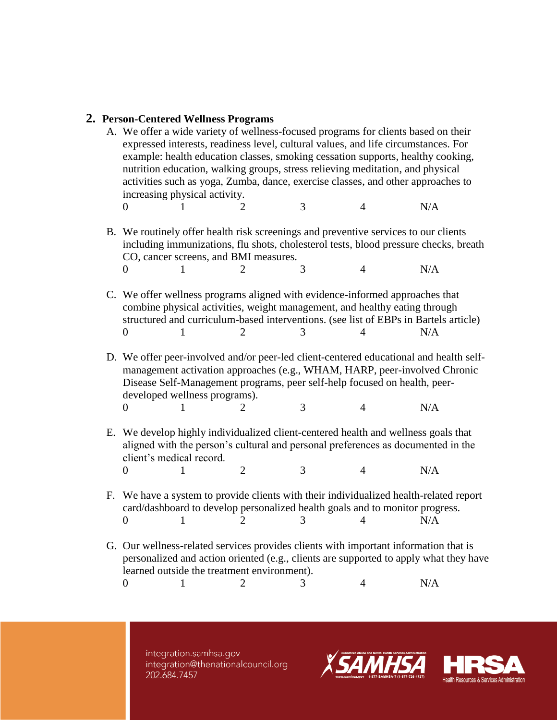### **2. Person-Centered Wellness Programs**

A. We offer a wide variety of wellness-focused programs for clients based on their expressed interests, readiness level, cultural values, and life circumstances. For example: health education classes, smoking cessation supports, healthy cooking, nutrition education, walking groups, stress relieving meditation, and physical activities such as yoga, Zumba, dance, exercise classes, and other approaches to increasing physical activity. 0 1 2 3 4 N/A B. We routinely offer health risk screenings and preventive services to our clients including immunizations, flu shots, cholesterol tests, blood pressure checks, breath CO, cancer screens, and BMI measures. 0 1 2 3 4 N/A C. We offer wellness programs aligned with evidence-informed approaches that combine physical activities, weight management, and healthy eating through structured and curriculum-based interventions. (see list of EBPs in Bartels article) 0 1 2 3 4 N/A D. We offer peer-involved and/or peer-led client-centered educational and health selfmanagement activation approaches (e.g., WHAM, HARP, peer-involved Chronic Disease Self-Management programs, peer self-help focused on health, peerdeveloped wellness programs). 0 1 2 3 4 N/A E. We develop highly individualized client-centered health and wellness goals that aligned with the person's cultural and personal preferences as documented in the client's medical record. 0 1 2 3 4 N/A F. We have a system to provide clients with their individualized health-related report card/dashboard to develop personalized health goals and to monitor progress. 0 1 2 3 4 N/A G. Our wellness-related services provides clients with important information that is personalized and action oriented (e.g., clients are supported to apply what they have learned outside the treatment environment). 0 1 2 3 4 N/A

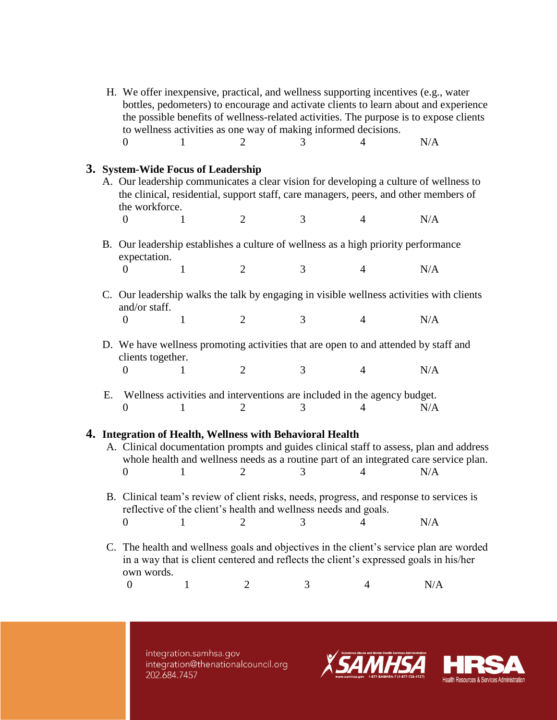| H. We offer inexpensive, practical, and wellness supporting incentives (e.g., water<br>bottles, pedometers) to encourage and activate clients to learn about and experience<br>the possible benefits of wellness-related activities. The purpose is to expose clients<br>to wellness activities as one way of making informed decisions. |                                                                                                                                                                                                                                                                                    |              |                       |   |                                                                               |     |  |  |
|------------------------------------------------------------------------------------------------------------------------------------------------------------------------------------------------------------------------------------------------------------------------------------------------------------------------------------------|------------------------------------------------------------------------------------------------------------------------------------------------------------------------------------------------------------------------------------------------------------------------------------|--------------|-----------------------|---|-------------------------------------------------------------------------------|-----|--|--|
|                                                                                                                                                                                                                                                                                                                                          | 0                                                                                                                                                                                                                                                                                  | 1            | $\overline{2}$        | 3 |                                                                               | N/A |  |  |
|                                                                                                                                                                                                                                                                                                                                          | 3. System-Wide Focus of Leadership<br>A. Our leadership communicates a clear vision for developing a culture of wellness to<br>the clinical, residential, support staff, care managers, peers, and other members of<br>the workforce.<br>$\overline{2}$<br>3<br>N/A<br>1<br>0<br>4 |              |                       |   |                                                                               |     |  |  |
| B. Our leadership establishes a culture of wellness as a high priority performance<br>expectation.                                                                                                                                                                                                                                       |                                                                                                                                                                                                                                                                                    |              |                       |   |                                                                               |     |  |  |
|                                                                                                                                                                                                                                                                                                                                          | 0                                                                                                                                                                                                                                                                                  | 1            | $\overline{2}$        | 3 | $\overline{4}$                                                                | N/A |  |  |
|                                                                                                                                                                                                                                                                                                                                          | C. Our leadership walks the talk by engaging in visible wellness activities with clients<br>and/or staff.                                                                                                                                                                          |              |                       |   |                                                                               |     |  |  |
|                                                                                                                                                                                                                                                                                                                                          | $\overline{0}$                                                                                                                                                                                                                                                                     | $\mathbf{1}$ | $\overline{2}$        | 3 | $\overline{4}$                                                                | N/A |  |  |
|                                                                                                                                                                                                                                                                                                                                          | D. We have wellness promoting activities that are open to and attended by staff and<br>clients together.                                                                                                                                                                           |              |                       |   |                                                                               |     |  |  |
|                                                                                                                                                                                                                                                                                                                                          | $\boldsymbol{0}$                                                                                                                                                                                                                                                                   | 1            | $\overline{2}$        | 3 | $\overline{4}$                                                                | N/A |  |  |
| Ε.                                                                                                                                                                                                                                                                                                                                       | $\theta$                                                                                                                                                                                                                                                                           | 1            | 2                     | 3 | Wellness activities and interventions are included in the agency budget.<br>4 | N/A |  |  |
| 4. Integration of Health, Wellness with Behavioral Health<br>A. Clinical documentation prompts and guides clinical staff to assess, plan and address<br>whole health and wellness needs as a routine part of an integrated care service plan.<br>N/A<br>1<br>3<br>4<br>0                                                                 |                                                                                                                                                                                                                                                                                    |              |                       |   |                                                                               |     |  |  |
|                                                                                                                                                                                                                                                                                                                                          | B. Clinical team's review of client risks, needs, progress, and response to services is<br>reflective of the client's health and wellness needs and goals.                                                                                                                         |              |                       |   |                                                                               |     |  |  |
|                                                                                                                                                                                                                                                                                                                                          | $\theta$                                                                                                                                                                                                                                                                           | 1            | $\mathcal{D}_{\cdot}$ | 3 | 4                                                                             | N/A |  |  |
| C. The health and wellness goals and objectives in the client's service plan are worded<br>in a way that is client centered and reflects the client's expressed goals in his/her                                                                                                                                                         |                                                                                                                                                                                                                                                                                    |              |                       |   |                                                                               |     |  |  |
|                                                                                                                                                                                                                                                                                                                                          | own words.<br>$\boldsymbol{0}$                                                                                                                                                                                                                                                     | $\mathbf{1}$ | 2                     | 3 | 4                                                                             | N/A |  |  |

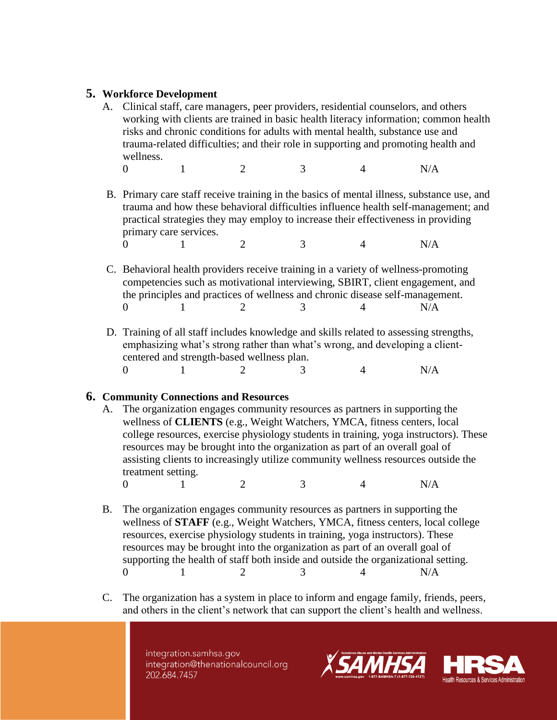## **5. Workforce Development**

- A. Clinical staff, care managers, peer providers, residential counselors, and others working with clients are trained in basic health literacy information; common health risks and chronic conditions for adults with mental health, substance use and trauma-related difficulties; and their role in supporting and promoting health and wellness.
	- 0 1 2 3 4 N/A
- B. Primary care staff receive training in the basics of mental illness, substance use, and trauma and how these behavioral difficulties influence health self-management; and practical strategies they may employ to increase their effectiveness in providing primary care services. 0 1 2 3 4 N/A
- C. Behavioral health providers receive training in a variety of wellness-promoting competencies such as motivational interviewing, SBIRT, client engagement, and the principles and practices of wellness and chronic disease self-management. 0 1 2 3 4 N/A
- D. Training of all staff includes knowledge and skills related to assessing strengths, emphasizing what's strong rather than what's wrong, and developing a clientcentered and strength-based wellness plan. 0 1 2 3 4 N/A

## **6. Community Connections and Resources**

- A. The organization engages community resources as partners in supporting the wellness of **CLIENTS** (e.g., Weight Watchers, YMCA, fitness centers, local college resources, exercise physiology students in training, yoga instructors). These resources may be brought into the organization as part of an overall goal of assisting clients to increasingly utilize community wellness resources outside the treatment setting.
	- 0 1 2 3 4 N/A
- B. The organization engages community resources as partners in supporting the wellness of **STAFF** (e.g., Weight Watchers, YMCA, fitness centers, local college resources, exercise physiology students in training, yoga instructors). These resources may be brought into the organization as part of an overall goal of supporting the health of staff both inside and outside the organizational setting. 0 1 2 3 4 N/A
- C. The organization has a system in place to inform and engage family, friends, peers, and others in the client's network that can support the client's health and wellness.

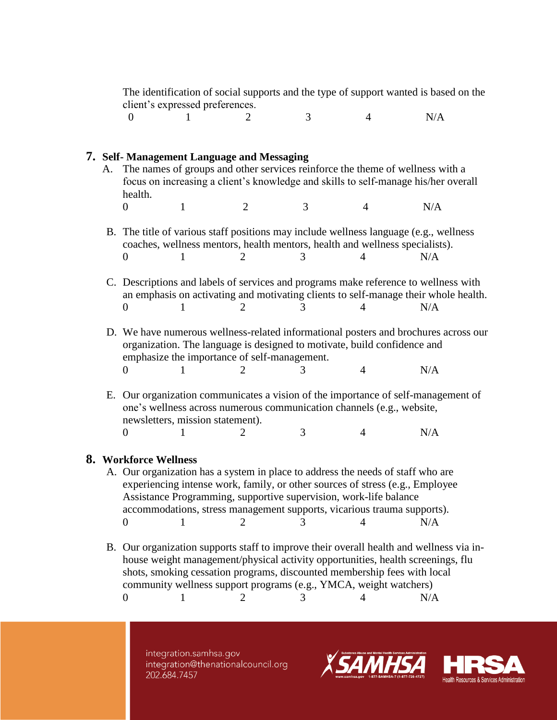The identification of social supports and the type of support wanted is based on the client's expressed preferences.

0 1 2 3 4 N/A

### **7. Self- Management Language and Messaging**

- A. The names of groups and other services reinforce the theme of wellness with a focus on increasing a client's knowledge and skills to self-manage his/her overall health. 0 1 2 3 4 N/A
- B. The title of various staff positions may include wellness language (e.g., wellness coaches, wellness mentors, health mentors, health and wellness specialists). 0 1 2 3 4 N/A
- C. Descriptions and labels of services and programs make reference to wellness with an emphasis on activating and motivating clients to self-manage their whole health. 0 1 2 3 4 N/A
- D. We have numerous wellness-related informational posters and brochures across our organization. The language is designed to motivate, build confidence and emphasize the importance of self-management. 0 1 2 3 4 N/A
- E. Our organization communicates a vision of the importance of self-management of one's wellness across numerous communication channels (e.g., website, newsletters, mission statement). 0 1 2 3 4 N/A

#### **8. Workforce Wellness**

- A. Our organization has a system in place to address the needs of staff who are experiencing intense work, family, or other sources of stress (e.g., Employee Assistance Programming, supportive supervision, work-life balance accommodations, stress management supports, vicarious trauma supports). 0 1 2 3 4 N/A
- B. Our organization supports staff to improve their overall health and wellness via inhouse weight management/physical activity opportunities, health screenings, flu shots, smoking cessation programs, discounted membership fees with local community wellness support programs (e.g., YMCA, weight watchers) 0 1 2 3 4 N/A